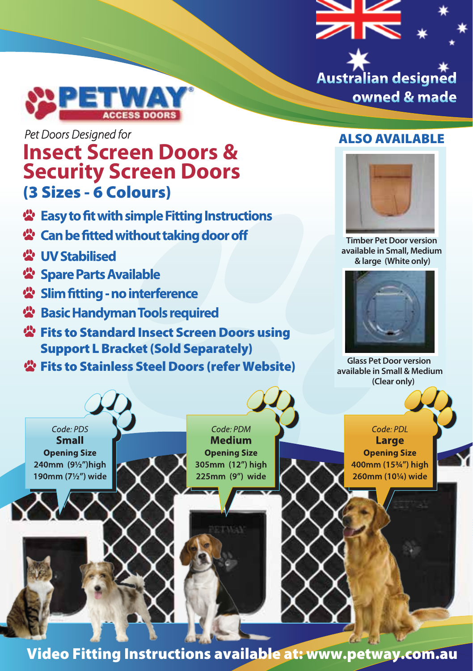



# Pet Doors Designed for

## **Insect Screen Doors & Security Screen Doors** (3 Sizes - 6 Colours)

- 公 Easy to fit with simple Fitting Instructions
- 公 Can be fitted without taking door off
- 要 **IIV** Stabilised
- **卷 Spare Parts Available**
- 상 Slim fitting no interference
- **卷 Basic Handyman Tools required**
- *堂* Fits to Standard Insect Screen Doors using Support L Bracket (Sold Separately)
- **卷 Fits to Stainless Steel Doors (refer Website)**

#### ALSO AVAILABLE



**Timber Pet Door version available in Small, Medium & large (White only)**



**Glass Pet Door version available in Small & Medium (Clear only)**



Video Fitting Instructions available at: www.petway.com.au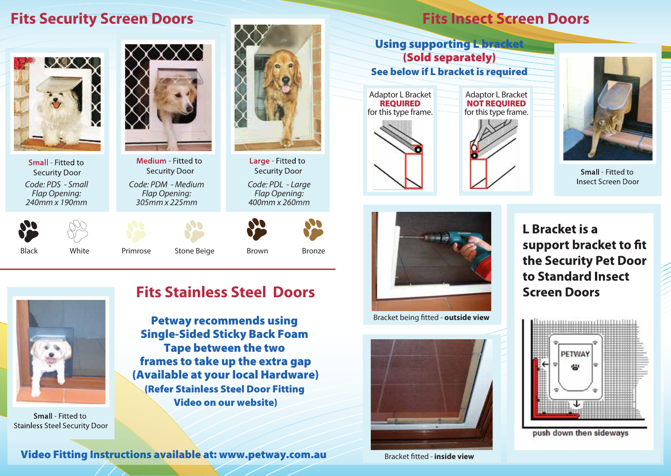# **Fits Security Screen Doors**





**Small** Fitted to **Security Door** *Code: PDS - Small Flap Opening: 240mm x 190mm*



*Code: PDM - Medium*



Black White Primrose Stone Beige Brown Bronze

*Code: PDL - Large Flap Opening: 400mm x 260mm*

**Security Door** 

Large - Fitted to





**Small** - Fitted to **Stainless Steel Security Door** 

video Fitting Instructions available at the community of the community of the community of the community of the<br>The Single-Sided Sticky Back Foam Petway recommends using Single-Sided Sticky Back Foam Tape between the two frames to take up the extra gap (Available at your local Hardware) (Refer Stainless Steel Door Fitting Video on our website)

**Fits Stainless Steel Doors**

Video Fitting Instructions available at: www.petway.com.au Video Fitting Instructions available at: www.petway.com.au

# **Fits Insect Screen Doors**

**Institute Screen Control Screen Control Screen Control Screen Control Screen Control Screen Control Screen Control Screen Control Screen Control Screen Control Screen Control Screen Control Screen Control Screen Control S See below if L bracket is required** Using supporting L-bra Adaptor L Bracket REQUIRED for this type frame. Adaptor L Bracket **NOT REQUIRED** for this type frame.







Small - Fitted to **Insect Screen Door** 



*Bracket being tted - outside view* Bracket being tted *-* **outside view**



Bracket tted *-* **inside view**

L Bracket is a support bracket to fit the Security Pet Door to Standard Insect **Screen Doors** 



push down then sideways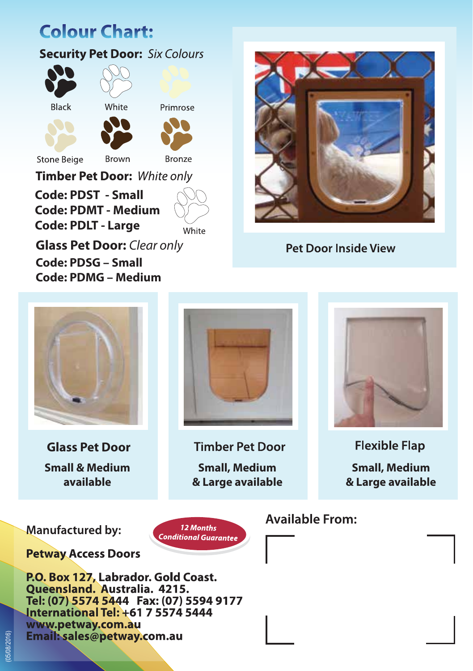# **Colour Chart:**

#### **Security Pet Door: Six Colours**





Primrose





**Stone Beige** 

**Bronze** 

**Timber Pet Door: White only** 

**Brown** 

**Code: PDST - Small Code: PDMT - Medium Code: PDLT - Large** 

White

**Glass Pet Door:** *Clear only* **Code: PDSG – Small Code: PDMG – Medium**



**Pet Door Inside View** 



 **Glass Pet Door Small & Medium available**

**Timber Pet Door Small, Medium & Large available**

12 Months

**Conditional Guarantee** 



**Flexible Flap Small, Medium & Large available**

**Manufactured by:** 

**Petway Access Doors** 

P.O. Box 127, Labrador. Gold Coast. **Oueensland, Australia, 4215.** Tel: (07) 5574 5444 Fax: (07) 5594 9177 **International Tel: +61 7 5574 5444** www.petway.com.au Email: sales@petway.com.au

**Available From:** 

(05/08/2016)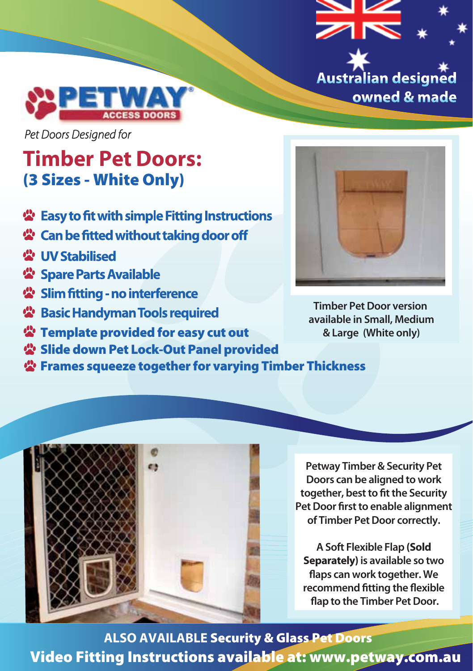



Pet Doors Designed for

## **Timber Pet Doors:** (3 Sizes - White Only)

- Lasy to fit with simple Fitting Instructions
- 公 Can be fitted without taking door off
- 要 **IIV** Stabilised
- **卷 Spare Parts Available**
- 상 Slim fitting no interference
- 상 Basic Handyman Tools required
- **<sup>2</sup>** Template provided for easy cut out **8** Large (White only)
- **公 Slide down Pet Lock-Out Panel provided**

**CIT** 

Frames squeeze together for varying Timber Thickness



**Timber Pet Door version available in Small, Medium**

**Petway Timber & Security Pet Doors can be aligned to work together, best to fit the Security Pet Door first to enable alignment of Timber Pet Door correctly.** 

**A Soft Flexible Flap (Sold Separately) is available so two aps can work together. We recommend fitting the flexible ap to the Timber Pet Door.**

**ALSO AVAILABLE** Security & Glass Pet Doors Video Fitting Instructions available at: www.petway.com.au